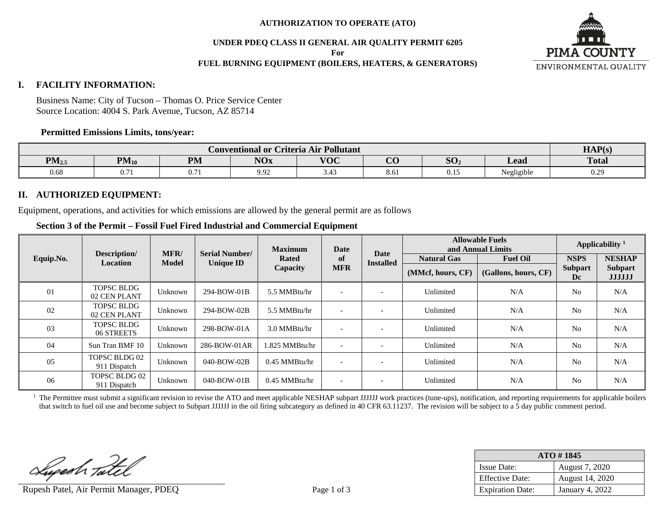#### **AUTHORIZATION TO OPERATE (ATO)**

**UNDER PDEQ CLASS II GENERAL AIR QUALITY PERMIT 6205**

**For**

# **FUEL BURNING EQUIPMENT (BOILERS, HEATERS, & GENERATORS)**



#### **I. FACILITY INFORMATION:**

Business Name: City of Tucson – Thomas O. Price Service Center Source Location: 4004 S. Park Avenue, Tucson, AZ 85714

#### **Permitted Emissions Limits, tons/year:**

|                   | · Pollutant<br>Criteria Air '<br>Conventional or <b>(</b>                                                               |        |      |      |      |       |                      |      |
|-------------------|-------------------------------------------------------------------------------------------------------------------------|--------|------|------|------|-------|----------------------|------|
| PM <sub>2.5</sub> | $\sim$<br>$\Omega$<br>$\mathbf{V}$<br><b>PM</b><br>$PM_{10}$<br>$\mathbf{M}$<br>Lead<br>DU.<br>AUA<br>$\mathbf{v}$<br>ັ |        |      |      |      |       | <b>Total</b>         |      |
| 0.68              | $\sim$ $-$<br>V. / I                                                                                                    | V. / 1 | 9.92 | J.4J | 8.01 | v. 1. | $\sim$<br>Negligible | 0.25 |

## **II. AUTHORIZED EQUIPMENT:**

Equipment, operations, and activities for which emissions are allowed by the general permit are as follows

# **Section 3 of the Permit – Fossil Fuel Fired Industrial and Commercial Equipment**

|           |                                      | MFR/         | <b>Serial Number/</b> | <b>Maximum</b><br>Date |                          | <b>Allowable Fuels</b><br>and Annual Limits |                    | Applicability <sup>1</sup> |                      |                                 |
|-----------|--------------------------------------|--------------|-----------------------|------------------------|--------------------------|---------------------------------------------|--------------------|----------------------------|----------------------|---------------------------------|
| Equip.No. | Description/<br>Location             | <b>Model</b> | <b>Unique ID</b>      | <b>Rated</b>           | of                       | Date<br><b>Installed</b>                    | <b>Natural Gas</b> | <b>Fuel Oil</b>            | <b>NSPS</b>          | <b>NESHAP</b>                   |
|           |                                      | Capacity     |                       |                        | <b>MFR</b>               |                                             | (MMcf, hours, CF)  | (Gallons, hours, CF)       | <b>Subpart</b><br>Dc | <b>Subpart</b><br><b>JJJJJJ</b> |
| 01        | <b>TOPSC BLDG</b><br>02 CEN PLANT    | Unknown      | 294-BOW-01B           | 5.5 MMBtu/hr           | $\overline{\phantom{0}}$ |                                             | Unlimited          | N/A                        | N <sub>0</sub>       | N/A                             |
| 02        | <b>TOPSC BLDG</b><br>02 CEN PLANT    | Unknown      | 294-BOW-02B           | 5.5 MMBtu/hr           | $\overline{\phantom{a}}$ |                                             | Unlimited          | N/A                        | N <sub>0</sub>       | N/A                             |
| 03        | <b>TOPSC BLDG</b><br>06 STREETS      | Unknown      | 298-BOW-01A           | 3.0 MMBtu/hr           | $\overline{\phantom{0}}$ |                                             | Unlimited          | N/A                        | N <sub>0</sub>       | N/A                             |
| 04        | Sun Tran BMF 10                      | Unknown      | 286-BOW-01AR          | 1.825 MMBtu/hr         | $\overline{\phantom{0}}$ |                                             | Unlimited          | N/A                        | N <sub>0</sub>       | N/A                             |
| 05        | TOPSC BLDG 02<br>911 Dispatch        | Unknown      | 040-BOW-02B           | 0.45 MMBtu/hr          | $\overline{\phantom{0}}$ |                                             | Unlimited          | N/A                        | N <sub>0</sub>       | N/A                             |
| 06        | <b>TOPSC BLDG 02</b><br>911 Dispatch | Unknown      | $040$ -BOW-01B        | 0.45 MMBtu/hr          | $\overline{\phantom{0}}$ |                                             | Unlimited          | N/A                        | N <sub>0</sub>       | N/A                             |

 $1$  The Permittee must submit a significant revision to revise the ATO and meet applicable NESHAP subpart JJJJJJ work practices (tune-ups), notification, and reporting requirements for applicable boilers that switch to fuel oil use and become subject to Subpart JJJJJJ in the oil firing subcategory as defined in 40 CFR 63.11237. The revision will be subject to a 5 day public comment period.

Luperh Tatel

Rupesh Patel, Air Permit Manager, PDEQ Page 1 of 3

| $ATO \# 1845$           |                        |  |  |  |  |  |
|-------------------------|------------------------|--|--|--|--|--|
| <b>Issue Date:</b>      | August 7, 2020         |  |  |  |  |  |
| <b>Effective Date:</b>  | August 14, 2020        |  |  |  |  |  |
| <b>Expiration Date:</b> | <b>January 4, 2022</b> |  |  |  |  |  |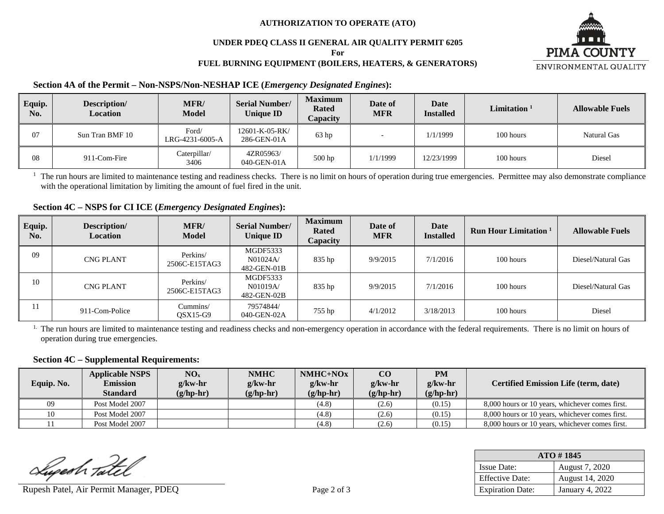#### **AUTHORIZATION TO OPERATE (ATO)**

# **UNDER PDEQ CLASS II GENERAL AIR QUALITY PERMIT 6205**

**For**

## **FUEL BURNING EQUIPMENT (BOILERS, HEATERS, & GENERATORS)**



## **Section 4A of the Permit – Non-NSPS/Non-NESHAP ICE (***Emergency Designated Engines***):**

| Equip.<br>No. | Description/<br><b>Location</b> | MFR/<br><b>Model</b>     | <b>Serial Number/</b><br>Unique ID | <b>Maximum</b><br><b>Rated</b><br>Capacity | Date of<br><b>MFR</b> | Date<br><b>Installed</b> | Limitation <sup>1</sup> | <b>Allowable Fuels</b> |
|---------------|---------------------------------|--------------------------|------------------------------------|--------------------------------------------|-----------------------|--------------------------|-------------------------|------------------------|
| 07            | Sun Tran BMF 10                 | Ford/<br>LRG-4231-6005-A | 12601-K-05-RK/<br>286-GEN-01A      | 63 <sub>hp</sub>                           |                       | 1/1/1999                 | 100 hours               | Natural Gas            |
| 08            | 911-Com-Fire                    | Caterpillar/<br>3406     | 4ZR05963/<br>040-GEN-01A           | 500 hp                                     | 1/1/1999              | 12/23/1999               | 100 hours               | Diesel                 |

 $<sup>1</sup>$  The run hours are limited to maintenance testing and readiness checks. There is no limit on hours of operation during true emergencies. Permittee may also demonstrate compliance</sup> with the operational limitation by limiting the amount of fuel fired in the unit.

# **Section 4C – NSPS for CI ICE (***Emergency Designated Engines***):**

| Equip.<br>No. | Description/<br><b>Location</b> | <b>MFR/</b><br><b>Model</b> | <b>Serial Number/</b><br><b>Unique ID</b> | <b>Maximum</b><br><b>Rated</b><br><b>Capacity</b> | Date of<br>MFR | Date<br><b>Installed</b> | <b>Run Hour Limitation</b> 1 | <b>Allowable Fuels</b> |
|---------------|---------------------------------|-----------------------------|-------------------------------------------|---------------------------------------------------|----------------|--------------------------|------------------------------|------------------------|
| 09            | <b>CNG PLANT</b>                | Perkins/<br>2506C-E15TAG3   | MGDF5333<br>N01024A/<br>482-GEN-01B       | 835 hp                                            | 9/9/2015       | 7/1/2016                 | 100 hours                    | Diesel/Natural Gas     |
| 10            | <b>CNG PLANT</b>                | Perkins/<br>2506C-E15TAG3   | MGDF5333<br>N01019A/<br>482-GEN-02B       | 835 hp                                            | 9/9/2015       | 7/1/2016                 | 100 hours                    | Diesel/Natural Gas     |
|               | 911-Com-Police                  | Cummins/<br>$OSX15-G9$      | 79574844/<br>040-GEN-02A                  | 755 hp                                            | 4/1/2012       | 3/18/2013                | 100 hours                    | Diesel                 |

<sup>1.</sup> The run hours are limited to maintenance testing and readiness checks and non-emergency operation in accordance with the federal requirements. There is no limit on hours of operation during true emergencies.

#### **Section 4C – Supplemental Requirements:**

| Equip. No. | <b>Applicable NSPS</b><br><b>Emission</b><br><b>Standard</b> | NO <sub>x</sub><br>$g/kw-hr$<br>$(g/hp-hr)$ | <b>NMHC</b><br>$g$ /kw-hr<br>$(g/hp-hr)$ | $NMHC+NOx$<br>$g$ /kw-hr<br>$(g/hp-hr)$ | $\bf CO$<br>$g$ /kw-hr<br>$(g/hp-hr)$ | <b>PM</b><br>$g$ /kw-hr<br>$(g/hp-hr)$ | <b>Certified Emission Life (term, date)</b>     |
|------------|--------------------------------------------------------------|---------------------------------------------|------------------------------------------|-----------------------------------------|---------------------------------------|----------------------------------------|-------------------------------------------------|
| 09         | Post Model 2007                                              |                                             |                                          | (4.8)                                   | (2.6)                                 | (0.15)                                 | 8,000 hours or 10 years, whichever comes first. |
| 10         | Post Model 2007                                              |                                             |                                          | (4.8)                                   | (2.6)                                 | (0.15)                                 | 8,000 hours or 10 years, whichever comes first. |
|            | Post Model 2007                                              |                                             |                                          | (4.8)                                   | (2.6)                                 | (0.15)                                 | 8,000 hours or 10 years, whichever comes first. |

Superh Tatel

Rupesh Patel, Air Permit Manager, PDEQ Page 2 of 3

| $ATO \# 1845$           |                 |  |  |  |  |  |
|-------------------------|-----------------|--|--|--|--|--|
| <b>Issue Date:</b>      | August 7, 2020  |  |  |  |  |  |
| <b>Effective Date:</b>  | August 14, 2020 |  |  |  |  |  |
| <b>Expiration Date:</b> | January 4, 2022 |  |  |  |  |  |